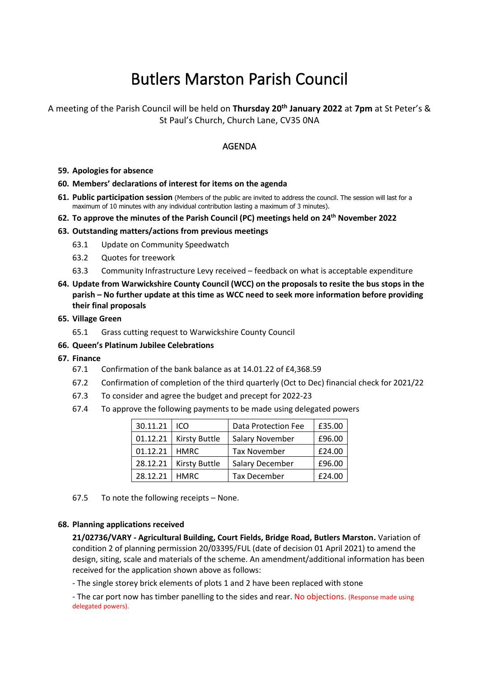# Butlers Marston Parish Council

A meeting of the Parish Council will be held on **Thursday 20th January 2022** at **7pm** at St Peter's & St Paul's Church, Church Lane, CV35 0NA

# AGENDA

**59. Apologies for absence**

# **60. Members' declarations of interest for items on the agenda**

- **61. Public participation session** (Members of the public are invited to address the council. The session will last for a maximum of 10 minutes with any individual contribution lasting a maximum of 3 minutes).
- **62. To approve the minutes of the Parish Council (PC) meetings held on 24th November 2022**

# **63. Outstanding matters/actions from previous meetings**

- 63.1 Update on Community Speedwatch
- 63.2 Quotes for treework
- 63.3 Community Infrastructure Levy received feedback on what is acceptable expenditure
- **64. Update from Warwickshire County Council (WCC) on the proposals to resite the bus stops in the parish – No further update at this time as WCC need to seek more information before providing their final proposals**

### **65. Village Green**

65.1 Grass cutting request to Warwickshire County Council

### **66. Queen's Platinum Jubilee Celebrations**

- **67. Finance**
	- 67.1 Confirmation of the bank balance as at 14.01.22 of £4,368.59
	- 67.2 Confirmation of completion of the third quarterly (Oct to Dec) financial check for 2021/22
	- 67.3 To consider and agree the budget and precept for 2022-23
	- 67.4 To approve the following payments to be made using delegated powers

| 30.11.21 ICO    |                          | <b>Data Protection Fee</b> | £35.00 |
|-----------------|--------------------------|----------------------------|--------|
|                 | 01.12.21   Kirsty Buttle | Salary November            | £96.00 |
| 01.12.21   HMRC |                          | <b>Tax November</b>        | £24.00 |
|                 | 28.12.21   Kirsty Buttle | Salary December            | £96.00 |
| 28.12.21   HMRC |                          | <b>Tax December</b>        | £24.00 |

67.5 To note the following receipts – None.

### **68. Planning applications received**

**21/02736/VARY - Agricultural Building, Court Fields, Bridge Road, Butlers Marston.** Variation of condition 2 of planning permission 20/03395/FUL (date of decision 01 April 2021) to amend the design, siting, scale and materials of the scheme. An amendment/additional information has been received for the application shown above as follows:

- The single storey brick elements of plots 1 and 2 have been replaced with stone

- The car port now has timber panelling to the sides and rear. No objections. (Response made using delegated powers).